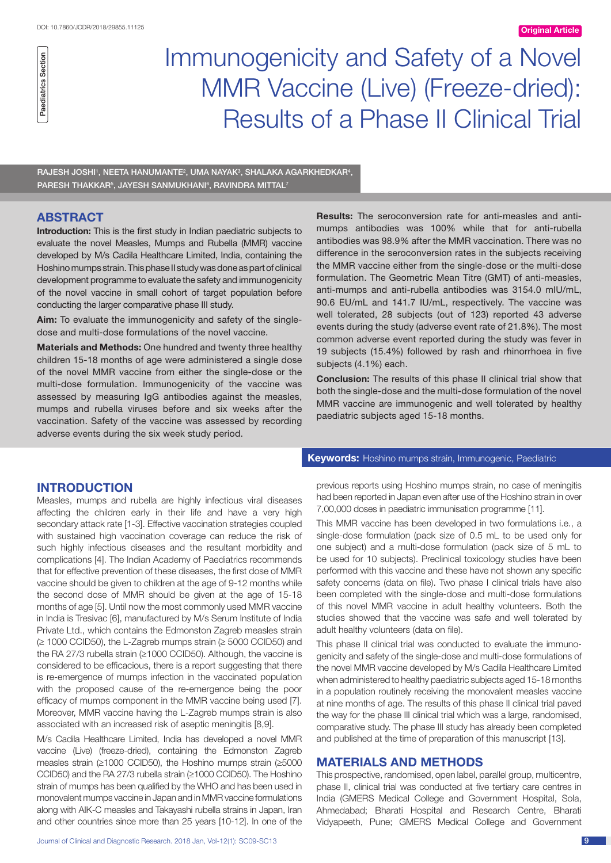# Immunogenicity and Safety of a Novel MMR Vaccine (Live) (Freeze-dried): Results of a Phase II Clinical Trial

 $R$ AJESH JOSHI $^1$ , NEETA HANUMANTE $^2$ , UMA NAYAK $^3$ , SHALAKA AGARKHEDKAR $^4$ , PARESH THAKKAR<sup>5</sup>, JAYESH SANMUKHANI<sup>6</sup>, RAVINDRA MITTAL<sup>7</sup>

# **ABSTRACT**

**Introduction:** This is the first study in Indian paediatric subjects to evaluate the novel Measles, Mumps and Rubella (MMR) vaccine developed by M/s Cadila Healthcare Limited, India, containing the Hoshino mumps strain. This phase II study was done as part of clinical development programme to evaluate the safety and immunogenicity of the novel vaccine in small cohort of target population before conducting the larger comparative phase III study.

**Aim:** To evaluate the immunogenicity and safety of the singledose and multi-dose formulations of the novel vaccine.

**Materials and Methods:** One hundred and twenty three healthy children 15-18 months of age were administered a single dose of the novel MMR vaccine from either the single-dose or the multi-dose formulation. Immunogenicity of the vaccine was assessed by measuring IgG antibodies against the measles, mumps and rubella viruses before and six weeks after the vaccination. Safety of the vaccine was assessed by recording adverse events during the six week study period.

# **Introduction**

Measles, mumps and rubella are highly infectious viral diseases affecting the children early in their life and have a very high secondary attack rate [1-3]. Effective vaccination strategies coupled with sustained high vaccination coverage can reduce the risk of such highly infectious diseases and the resultant morbidity and complications [4]. The Indian Academy of Paediatrics recommends that for effective prevention of these diseases, the first dose of MMR vaccine should be given to children at the age of 9-12 months while the second dose of MMR should be given at the age of 15-18 months of age [5]. Until now the most commonly used MMR vaccine in India is Tresivac [6], manufactured by M/s Serum Institute of India Private Ltd., which contains the Edmonston Zagreb measles strain (≥ 1000 CCID50), the L-Zagreb mumps strain (≥ 5000 CCID50) and the RA 27/3 rubella strain (≥1000 CCID50). Although, the vaccine is considered to be efficacious, there is a report suggesting that there is re-emergence of mumps infection in the vaccinated population with the proposed cause of the re-emergence being the poor efficacy of mumps component in the MMR vaccine being used [7]. Moreover, MMR vaccine having the L-Zagreb mumps strain is also associated with an increased risk of aseptic meningitis [8,9].

M/s Cadila Healthcare Limited, India has developed a novel MMR vaccine (Live) (freeze-dried), containing the Edmonston Zagreb measles strain (≥1000 CCID50), the Hoshino mumps strain (≥5000 CCID50) and the RA 27/3 rubella strain (≥1000 CCID50). The Hoshino strain of mumps has been qualified by the WHO and has been used in monovalent mumps vaccine in Japan and in MMR vaccine formulations along with AIK-C measles and Takayashi rubella strains in Japan, Iran and other countries since more than 25 years [10-12]. In one of the **Results:** The seroconversion rate for anti-measles and antimumps antibodies was 100% while that for anti-rubella antibodies was 98.9% after the MMR vaccination. There was no difference in the seroconversion rates in the subjects receiving the MMR vaccine either from the single-dose or the multi-dose formulation. The Geometric Mean Titre (GMT) of anti-measles, anti-mumps and anti-rubella antibodies was 3154.0 mIU/mL, 90.6 EU/mL and 141.7 IU/mL, respectively. The vaccine was well tolerated, 28 subjects (out of 123) reported 43 adverse events during the study (adverse event rate of 21.8%). The most common adverse event reported during the study was fever in 19 subjects (15.4%) followed by rash and rhinorrhoea in five subjects (4.1%) each.

**Conclusion:** The results of this phase II clinical trial show that both the single-dose and the multi-dose formulation of the novel MMR vaccine are immunogenic and well tolerated by healthy paediatric subjects aged 15-18 months.

## **Keywords:** Hoshino mumps strain, Immunogenic, Paediatric

previous reports using Hoshino mumps strain, no case of meningitis had been reported in Japan even after use of the Hoshino strain in over 7,00,000 doses in paediatric immunisation programme [11].

This MMR vaccine has been developed in two formulations i.e., a single-dose formulation (pack size of 0.5 mL to be used only for one subject) and a multi-dose formulation (pack size of 5 mL to be used for 10 subjects). Preclinical toxicology studies have been performed with this vaccine and these have not shown any specific safety concerns (data on file). Two phase I clinical trials have also been completed with the single-dose and multi-dose formulations of this novel MMR vaccine in adult healthy volunteers. Both the studies showed that the vaccine was safe and well tolerated by adult healthy volunteers (data on file).

This phase II clinical trial was conducted to evaluate the immunogenicity and safety of the single-dose and multi-dose formulations of the novel MMR vaccine developed by M/s Cadila Healthcare Limited when administered to healthy paediatric subjects aged 15-18 months in a population routinely receiving the monovalent measles vaccine at nine months of age. The results of this phase II clinical trial paved the way for the phase III clinical trial which was a large, randomised, comparative study. The phase III study has already been completed and published at the time of preparation of this manuscript [13].

# **Materials and Methods**

This prospective, randomised, open label, parallel group, multicentre, phase II, clinical trial was conducted at five tertiary care centres in India (GMERS Medical College and Government Hospital, Sola, Ahmedabad; Bharati Hospital and Research Centre, Bharati Vidyapeeth, Pune; GMERS Medical College and Government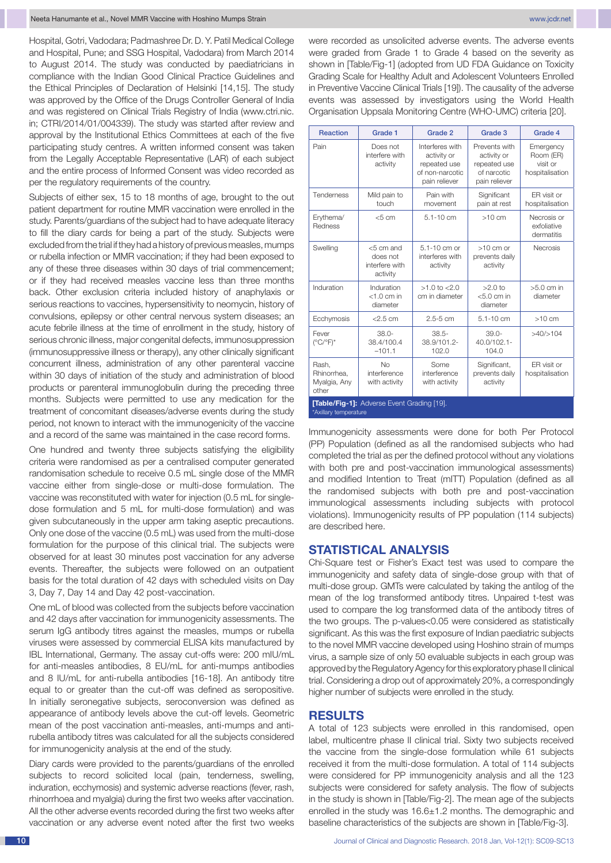Hospital, Gotri, Vadodara; Padmashree Dr. D. Y. Patil Medical College and Hospital, Pune; and SSG Hospital, Vadodara) from March 2014 to August 2014. The study was conducted by paediatricians in compliance with the Indian Good Clinical Practice Guidelines and the Ethical Principles of Declaration of Helsinki [14,15]. The study was approved by the Office of the Drugs Controller General of India and was registered on Clinical Trials Registry of India (www.ctri.nic. in; CTRI/2014/01/004339). The study was started after review and approval by the Institutional Ethics Committees at each of the five participating study centres. A written informed consent was taken from the Legally Acceptable Representative (LAR) of each subject and the entire process of Informed Consent was video recorded as per the regulatory requirements of the country.

Subjects of either sex, 15 to 18 months of age, brought to the out patient department for routine MMR vaccination were enrolled in the study. Parents/guardians of the subject had to have adequate literacy to fill the diary cards for being a part of the study. Subjects were excluded from the trial if they had a history of previous measles, mumps or rubella infection or MMR vaccination; if they had been exposed to any of these three diseases within 30 days of trial commencement; or if they had received measles vaccine less than three months back. Other exclusion criteria included history of anaphylaxis or serious reactions to vaccines, hypersensitivity to neomycin, history of convulsions, epilepsy or other central nervous system diseases; an acute febrile illness at the time of enrollment in the study, history of serious chronic illness, major congenital defects, immunosuppression (immunosuppressive illness or therapy), any other clinically significant concurrent illness, administration of any other parenteral vaccine within 30 days of initiation of the study and administration of blood products or parenteral immunoglobulin during the preceding three months. Subjects were permitted to use any medication for the treatment of concomitant diseases/adverse events during the study period, not known to interact with the immunogenicity of the vaccine and a record of the same was maintained in the case record forms.

One hundred and twenty three subjects satisfying the eligibility criteria were randomised as per a centralised computer generated randomisation schedule to receive 0.5 mL single dose of the MMR vaccine either from single-dose or multi-dose formulation. The vaccine was reconstituted with water for injection (0.5 mL for singledose formulation and 5 mL for multi-dose formulation) and was given subcutaneously in the upper arm taking aseptic precautions. Only one dose of the vaccine (0.5 mL) was used from the multi-dose formulation for the purpose of this clinical trial. The subjects were observed for at least 30 minutes post vaccination for any adverse events. Thereafter, the subjects were followed on an outpatient basis for the total duration of 42 days with scheduled visits on Day 3, Day 7, Day 14 and Day 42 post-vaccination.

One mL of blood was collected from the subjects before vaccination and 42 days after vaccination for immunogenicity assessments. The serum IgG antibody titres against the measles, mumps or rubella viruses were assessed by commercial ELISA kits manufactured by IBL International, Germany. The assay cut-offs were: 200 mIU/mL for anti-measles antibodies, 8 EU/mL for anti-mumps antibodies and 8 IU/mL for anti-rubella antibodies [16-18]. An antibody titre equal to or greater than the cut-off was defined as seropositive. In initially seronegative subjects, seroconversion was defined as appearance of antibody levels above the cut-off levels. Geometric mean of the post vaccination anti-measles, anti-mumps and antirubella antibody titres was calculated for all the subjects considered for immunogenicity analysis at the end of the study.

Diary cards were provided to the parents/guardians of the enrolled subjects to record solicited local (pain, tenderness, swelling, induration, ecchymosis) and systemic adverse reactions (fever, rash, rhinorrhoea and myalgia) during the first two weeks after vaccination. All the other adverse events recorded during the first two weeks after vaccination or any adverse event noted after the first two weeks were recorded as unsolicited adverse events. The adverse events were graded from Grade 1 to Grade 4 based on the severity as shown in [Table/Fig-1] (adopted from UD FDA Guidance on Toxicity Grading Scale for Healthy Adult and Adolescent Volunteers Enrolled in Preventive Vaccine Clinical Trials [19]). The causality of the adverse events was assessed by investigators using the World Health Organisation Uppsala Monitoring Centre (WHO-UMC) criteria [20].

| <b>Reaction</b>                                                            | Grade 1                                                | Grade 2                                                                            | Grade 3                                                                      | Grade 4                                               |
|----------------------------------------------------------------------------|--------------------------------------------------------|------------------------------------------------------------------------------------|------------------------------------------------------------------------------|-------------------------------------------------------|
| Pain                                                                       | Does not<br>interfere with<br>activity                 | Interferes with<br>activity or<br>repeated use<br>of non-narcotic<br>pain reliever | Prevents with<br>activity or<br>repeated use<br>of narcotic<br>pain reliever | Emergency<br>Room (ER)<br>visit or<br>hospitalisation |
| <b>Tenderness</b>                                                          | Mild pain to<br>touch                                  | Pain with<br>movement                                                              | Significant<br>pain at rest                                                  | ER visit or<br>hospitalisation                        |
| Erythema/<br>Redness                                                       | $<$ 5 cm                                               | $5.1 - 10$ cm                                                                      | $>10$ cm                                                                     | Necrosis or<br>exfoliative<br>dermatitis              |
| Swelling                                                                   | $<$ 5 cm and<br>does not<br>interfere with<br>activity | $5.1 - 10$ cm or<br>interferes with<br>activity                                    | $>10$ cm or<br>prevents daily<br>activity                                    | <b>Necrosis</b>                                       |
| Induration                                                                 | Induration<br>$<$ 1.0 cm in<br>diameter                | $>1.0$ to $< 2.0$<br>cm in diameter                                                | $>2.0$ to<br>$< 5.0$ cm in<br>diameter                                       | $>5.0$ cm in<br>diameter                              |
| Ecchymosis                                                                 | $<$ 2.5 cm                                             | $2.5 - 5$ cm                                                                       | $5.1 - 10$ cm                                                                | $>10$ cm                                              |
| Fever<br>$(^{\circ}C/^{\circ}F)^{*}$                                       | $38.0 -$<br>38.4/100.4<br>$-101.1$                     | $38.5 -$<br>38.9/101.2-<br>102.0                                                   | $39.0 -$<br>40.0/102.1-<br>104.0                                             | >40/>104                                              |
| Rash.<br>Rhinorrhea.<br>Myalgia, Any<br>other                              | No<br>interference<br>with activity                    | Some<br>interference<br>with activity                                              | Significant,<br>prevents daily<br>activity                                   | ER visit or<br>hospitalisation                        |
| <b>[Table/Fig-1]:</b> Adverse Event Grading [19].<br>*Axillary temperature |                                                        |                                                                                    |                                                                              |                                                       |

Immunogenicity assessments were done for both Per Protocol (PP) Population (defined as all the randomised subjects who had completed the trial as per the defined protocol without any violations with both pre and post-vaccination immunological assessments) and modified Intention to Treat (mITT) Population (defined as all the randomised subjects with both pre and post-vaccination immunological assessments including subjects with protocol violations). Immunogenicity results of PP population (114 subjects) are described here.

## **Statistical Analysis**

Chi-Square test or Fisher's Exact test was used to compare the immunogenicity and safety data of single-dose group with that of multi-dose group. GMTs were calculated by taking the antilog of the mean of the log transformed antibody titres. Unpaired t-test was used to compare the log transformed data of the antibody titres of the two groups. The p-values<0.05 were considered as statistically significant. As this was the first exposure of Indian paediatric subjects to the novel MMR vaccine developed using Hoshino strain of mumps virus, a sample size of only 50 evaluable subjects in each group was approved by the Regulatory Agency for this exploratory phase II clinical trial. Considering a drop out of approximately 20%, a correspondingly higher number of subjects were enrolled in the study.

## **Results**

A total of 123 subjects were enrolled in this randomised, open label, multicentre phase II clinical trial. Sixty two subjects received the vaccine from the single-dose formulation while 61 subjects received it from the multi-dose formulation. A total of 114 subjects were considered for PP immunogenicity analysis and all the 123 subjects were considered for safety analysis. The flow of subjects in the study is shown in [Table/Fig-2]. The mean age of the subjects enrolled in the study was 16.6±1.2 months. The demographic and baseline characteristics of the subjects are shown in [Table/Fig-3].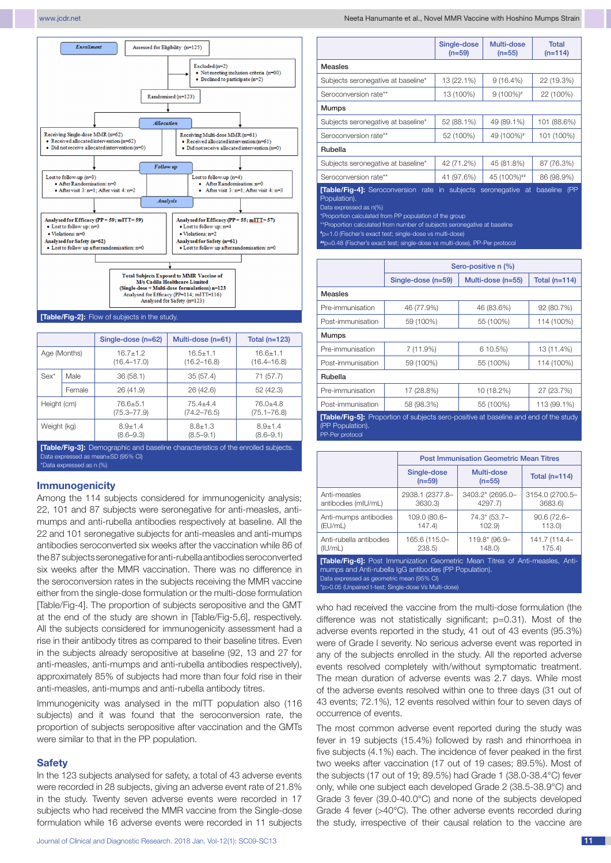

|                                                                                         |              | Single-dose (n=62)              | Multi-dose (n=61)               | Total $(n=123)$                 |
|-----------------------------------------------------------------------------------------|--------------|---------------------------------|---------------------------------|---------------------------------|
|                                                                                         | Age (Months) | $16.7 + 1.2$<br>$(16.4 - 17.0)$ | $16.5 + 1.1$<br>$(16.2 - 16.8)$ | $16.6 + 1.1$<br>$(16.4 - 16.8)$ |
| $Sex*$                                                                                  | Male         | 36(58.1)                        | 35(57.4)                        | 71 (57.7)                       |
|                                                                                         | Female       | 26 (41.9)                       | 26 (42.6)                       | 52(42.3)                        |
| Height (cm)                                                                             |              | 76.6±5.1<br>$(75.3 - 77.9)$     | $75.4 + 4.4$<br>$(74.2 - 76.5)$ | $76.0 + 4.8$<br>$(75.1 - 76.8)$ |
| Weight (kg)                                                                             |              | $8.9 + 1.4$<br>$(8.6 - 9.3)$    | $8.8 + 1.3$<br>$(8.5 - 9.1)$    | $8.9 + 1.4$<br>$(8.6 - 9.1)$    |
| <b>[Table/Fin-3]:</b> Demographic and baseline characteristics of the enrolled subjects |              |                                 |                                 |                                 |

**[Table/Fig-3]:** Demographic and baseline characteristics of the enrolled subjects. Data expressed as mean±SD (95% CI) \*Data expressed as n (%)

### **Immunogenicity**

Among the 114 subjects considered for immunogenicity analysis; 22, 101 and 87 subjects were seronegative for anti-measles, antimumps and anti-rubella antibodies respectively at baseline. All the 22 and 101 seronegative subjects for anti-measles and anti-mumps antibodies seroconverted six weeks after the vaccination while 86 of the 87 subjects seronegative for anti-rubella antibodies seroconverted six weeks after the MMR vaccination. There was no difference in the seroconversion rates in the subjects receiving the MMR vaccine either from the single-dose formulation or the multi-dose formulation [Table/Fig-4]. The proportion of subjects seropositive and the GMT at the end of the study are shown in [Table/Fig-5,6], respectively. All the subjects considered for immunogenicity assessment had a rise in their antibody titres as compared to their baseline titres. Even in the subjects already seropositive at baseline (92, 13 and 27 for anti-measles, anti-mumps and anti-rubella antibodies respectively), approximately 85% of subjects had more than four fold rise in their anti-measles, anti-mumps and anti-rubella antibody titres.

Immunogenicity was analysed in the mITT population also (116) subjects) and it was found that the seroconversion rate, the proportion of subjects seropositive after vaccination and the GMTs were similar to that in the PP population.

#### **Safety**

In the 123 subjects analysed for safety, a total of 43 adverse events were recorded in 28 subjects, giving an adverse event rate of 21.8% in the study. Twenty seven adverse events were recorded in 17 subjects who had received the MMR vaccine from the Single-dose formulation while 16 adverse events were recorded in 11 subjects

www.jcdr.net Neeta Hanumante et al., Novel MMR Vaccine with Hoshino Mumps Strain

|                                          | Single-dose<br>$(n=59)$ | Multi-dose<br>$(n=55)$ | Total<br>$(n=114)$      |
|------------------------------------------|-------------------------|------------------------|-------------------------|
| <b>Measles</b>                           |                         |                        |                         |
| Subjects seronegative at baseline*       | 13 (22.1%)              | $9(16.4\%)$            | 22 (19.3%)              |
| Seroconversion rate**                    | 13 (100%)               | $9(100\%)$ #           | 22 (100%)               |
| <b>Mumps</b>                             |                         |                        |                         |
| Subjects seronegative at baseline*       | 52 (88.1%)              | 49 (89.1%)             | 101 (88.6%)             |
| Seroconversion rate**                    | 52 (100%)               | 49 (100%)#             | 101 (100%)              |
| Rubella                                  |                         |                        |                         |
| Subjects seronegative at baseline*       | 42 (71.2%)              | 45 (81.8%)             | 87 (76.3%)              |
| Seroconversion rate**                    | 41 (97.6%)              | 45 (100%)##            | 86 (98.9%)              |
| <b>Table/Fig-41:</b> Seroconversion rate | subjects<br>in.         | seronegative<br>-at    | (PP)<br><b>haseline</b> |

**[Table/Fig-4]:** Seroconversion rate in subjects seronegative at baseline (PP Population).

Data expressed as n(%)

Proportion calculated from PP population of the group

\*Proportion calculated from number of subjects seronegative at baseline **#** p=1.0 (Fischer's exact test; single-dose vs multi-dose)

**##**p=0.48 (Fischer's exact test; single-dose vs multi-dose), PP-Per protocol

|                                                                                                                                    | Sero-positive n (%) |                     |                 |
|------------------------------------------------------------------------------------------------------------------------------------|---------------------|---------------------|-----------------|
|                                                                                                                                    | Single-dose (n=59)  | Multi-dose $(n=55)$ | Total $(n=114)$ |
| Measles                                                                                                                            |                     |                     |                 |
| Pre-immunisation                                                                                                                   | 46 (77.9%)          | 46 (83.6%)          | 92 (80.7%)      |
| Post-immunisation                                                                                                                  | 59 (100%)           | 55 (100%)           | 114 (100%)      |
| <b>Mumps</b>                                                                                                                       |                     |                     |                 |
| Pre-immunisation                                                                                                                   | 7 (11.9%)           | 6 10.5%)            | 13 (11.4%)      |
| Post-immunisation                                                                                                                  | 59 (100%)           | 55 (100%)           | 114 (100%)      |
| Rubella                                                                                                                            |                     |                     |                 |
| Pre-immunisation                                                                                                                   | 17 (28.8%)          | 10 (18.2%)          | 27 (23.7%)      |
| Post-immunisation                                                                                                                  | 58 (98.3%)          | 55 (100%)           | 113 (99.1%)     |
| <b>[Table/Fig-5]:</b> Proportion of subjects sero-positive at baseline and end of the study<br>(PP Population).<br>PP-Per protocol |                     |                     |                 |

|                         | <b>Post Immunisation Geometric Mean Titres</b> |                        |                 |  |
|-------------------------|------------------------------------------------|------------------------|-----------------|--|
|                         | Single-dose<br>$(n=59)$                        | Multi-dose<br>$(n=55)$ | Total $(n=114)$ |  |
| Anti-measles            | 2938.1 (2377.8-                                | 3403.2* (2695.0-       | 3154.0 (2700.5- |  |
| antibodies (mIU/mL)     | 3630.3)                                        | 4297.7)                | 3683.6)         |  |
| Anti-mumps antibodies   | 109.0 (80.6-                                   | 74.3* (53.7-           | $90.6(72.6 -$   |  |
| (EU/mL)                 | 147.4)                                         | 102.9                  | 113.0           |  |
| Anti-rubella antibodies | 165.6 (115.0-                                  | 119.8* (96.9-          | 141.7 (114.4-   |  |
| (IU/mL)                 | 238.5                                          | 148.0                  | 175.4           |  |

**[Table/Fig-6]:** Post Immunization Geometric Mean Titres of Anti-measles, Antimumps and Anti-rubella IgG antibodies (PP Population). Data expressed as geometric mean (95% CI)

\*p>0.05 (Unpaired t-test; Single-dose Vs Multi-dose)

who had received the vaccine from the multi-dose formulation (the difference was not statistically significant; p=0.31). Most of the adverse events reported in the study, 41 out of 43 events (95.3%) were of Grade I severity. No serious adverse event was reported in any of the subjects enrolled in the study. All the reported adverse events resolved completely with/without symptomatic treatment. The mean duration of adverse events was 2.7 days. While most of the adverse events resolved within one to three days (31 out of 43 events; 72.1%), 12 events resolved within four to seven days of occurrence of events.

The most common adverse event reported during the study was fever in 19 subjects (15.4%) followed by rash and rhinorrhoea in five subjects (4.1%) each. The incidence of fever peaked in the first two weeks after vaccination (17 out of 19 cases; 89.5%). Most of the subjects (17 out of 19; 89.5%) had Grade 1 (38.0-38.4°C) fever only, while one subject each developed Grade 2 (38.5-38.9°C) and Grade 3 fever (39.0-40.0°C) and none of the subjects developed Grade 4 fever (>40°C). The other adverse events recorded during the study, irrespective of their causal relation to the vaccine are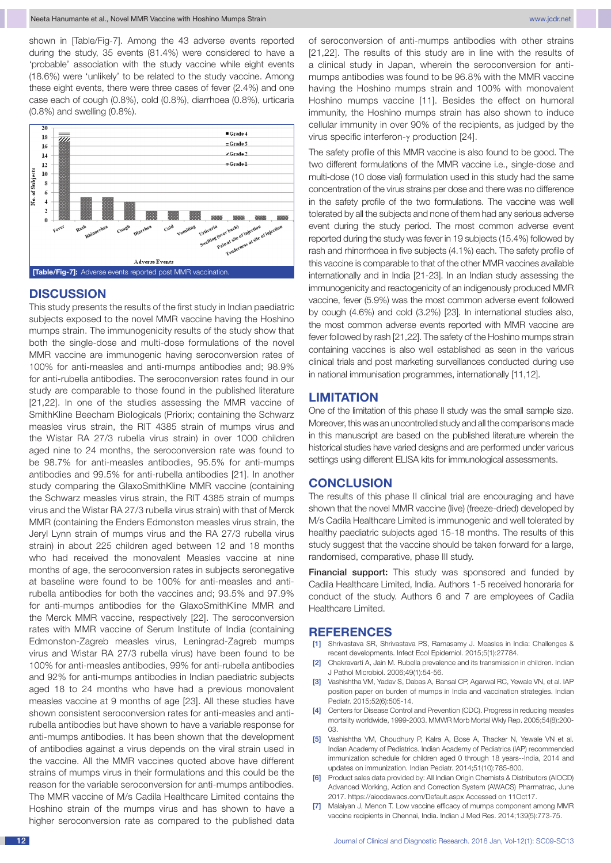shown in [Table/Fig-7]. Among the 43 adverse events reported during the study, 35 events (81.4%) were considered to have a 'probable' association with the study vaccine while eight events (18.6%) were 'unlikely' to be related to the study vaccine. Among these eight events, there were three cases of fever (2.4%) and one case each of cough (0.8%), cold (0.8%), diarrhoea (0.8%), urticaria (0.8%) and swelling (0.8%).



## **Discussion**

This study presents the results of the first study in Indian paediatric subjects exposed to the novel MMR vaccine having the Hoshino mumps strain. The immunogenicity results of the study show that both the single-dose and multi-dose formulations of the novel MMR vaccine are immunogenic having seroconversion rates of 100% for anti-measles and anti-mumps antibodies and; 98.9% for anti-rubella antibodies. The seroconversion rates found in our study are comparable to those found in the published literature [21,22]. In one of the studies assessing the MMR vaccine of SmithKline Beecham Biologicals (Priorix; containing the Schwarz measles virus strain, the RIT 4385 strain of mumps virus and the Wistar RA 27/3 rubella virus strain) in over 1000 children aged nine to 24 months, the seroconversion rate was found to be 98.7% for anti-measles antibodies, 95.5% for anti-mumps antibodies and 99.5% for anti-rubella antibodies [21]. In another study comparing the GlaxoSmithKline MMR vaccine (containing the Schwarz measles virus strain, the RIT 4385 strain of mumps virus and the Wistar RA 27/3 rubella virus strain) with that of Merck MMR (containing the Enders Edmonston measles virus strain, the Jeryl Lynn strain of mumps virus and the RA 27/3 rubella virus strain) in about 225 children aged between 12 and 18 months who had received the monovalent Measles vaccine at nine months of age, the seroconversion rates in subjects seronegative at baseline were found to be 100% for anti-measles and antirubella antibodies for both the vaccines and; 93.5% and 97.9% for anti-mumps antibodies for the GlaxoSmithKline MMR and the Merck MMR vaccine, respectively [22]. The seroconversion rates with MMR vaccine of Serum Institute of India (containing Edmonston-Zagreb measles virus, Leningrad-Zagreb mumps virus and Wistar RA 27/3 rubella virus) have been found to be 100% for anti-measles antibodies, 99% for anti-rubella antibodies and 92% for anti-mumps antibodies in Indian paediatric subjects aged 18 to 24 months who have had a previous monovalent measles vaccine at 9 months of age [23]. All these studies have shown consistent seroconversion rates for anti-measles and antirubella antibodies but have shown to have a variable response for anti-mumps antibodies. It has been shown that the development of antibodies against a virus depends on the viral strain used in the vaccine. All the MMR vaccines quoted above have different strains of mumps virus in their formulations and this could be the reason for the variable seroconversion for anti-mumps antibodies. The MMR vaccine of M/s Cadila Healthcare Limited contains the Hoshino strain of the mumps virus and has shown to have a higher seroconversion rate as compared to the published data

of seroconversion of anti-mumps antibodies with other strains [21,22]. The results of this study are in line with the results of a clinical study in Japan, wherein the seroconversion for antimumps antibodies was found to be 96.8% with the MMR vaccine having the Hoshino mumps strain and 100% with monovalent Hoshino mumps vaccine [11]. Besides the effect on humoral immunity, the Hoshino mumps strain has also shown to induce cellular immunity in over 90% of the recipients, as judged by the virus specific interferon-γ production [24].

The safety profile of this MMR vaccine is also found to be good. The two different formulations of the MMR vaccine i.e., single-dose and multi-dose (10 dose vial) formulation used in this study had the same concentration of the virus strains per dose and there was no difference in the safety profile of the two formulations. The vaccine was well tolerated by all the subjects and none of them had any serious adverse event during the study period. The most common adverse event reported during the study was fever in 19 subjects (15.4%) followed by rash and rhinorrhoea in five subjects (4.1%) each. The safety profile of this vaccine is comparable to that of the other MMR vaccines available internationally and in India [21-23]. In an Indian study assessing the immunogenicity and reactogenicity of an indigenously produced MMR vaccine, fever (5.9%) was the most common adverse event followed by cough (4.6%) and cold (3.2%) [23]. In international studies also, the most common adverse events reported with MMR vaccine are fever followed by rash [21,22]. The safety of the Hoshino mumps strain containing vaccines is also well established as seen in the various clinical trials and post marketing surveillances conducted during use in national immunisation programmes, internationally [11,12].

## **Limitation**

One of the limitation of this phase II study was the small sample size. Moreover, this was an uncontrolled study and all the comparisons made in this manuscript are based on the published literature wherein the historical studies have varied designs and are performed under various settings using different ELISA kits for immunological assessments.

## **Conclusion**

The results of this phase II clinical trial are encouraging and have shown that the novel MMR vaccine (live) (freeze-dried) developed by M/s Cadila Healthcare Limited is immunogenic and well tolerated by healthy paediatric subjects aged 15-18 months. The results of this study suggest that the vaccine should be taken forward for a large. randomised, comparative, phase III study.

**Financial support:** This study was sponsored and funded by Cadila Healthcare Limited, India. Authors 1-5 received honoraria for conduct of the study. Authors 6 and 7 are employees of Cadila Healthcare Limited.

## **References**

- [1] Shrivastava SR, Shrivastava PS, Ramasamy J. Measles in India: Challenges & recent developments. Infect Ecol Epidemiol. 2015;5(1):27784.
- [2] Chakravarti A, Jain M. Rubella prevalence and its transmission in children. Indian J Pathol Microbiol. 2006;49(1):54-56.
- [3] Vashishtha VM, Yadav S, Dabas A, Bansal CP, Agarwal RC, Yewale VN, et al. IAP position paper on burden of mumps in India and vaccination strategies. Indian Pediatr. 2015;52(6):505-14.
- [4] Centers for Disease Control and Prevention (CDC). Progress in reducing measles mortality worldwide, 1999-2003. MMWR Morb Mortal Wkly Rep. 2005;54(8):200- 03.
- [5] Vashishtha VM, Choudhury P, Kalra A, Bose A, Thacker N, Yewale VN et al. Indian Academy of Pediatrics. Indian Academy of Pediatrics (IAP) recommended immunization schedule for children aged 0 through 18 years--India, 2014 and updates on immunization. Indian Pediatr. 2014;51(10):785-800.
- [6] Product sales data provided by: All Indian Origin Chemists & Distributors (AIOCD) Advanced Working, Action and Correction System (AWACS) Pharmatrac, June 2017. https://aiocdawacs.com/Default.aspx Accessed on 11Oct17.
- [7] Malaiyan J, Menon T. Low vaccine efficacy of mumps component among MMR vaccine recipients in Chennai, India. Indian J Med Res. 2014;139(5):773-75.